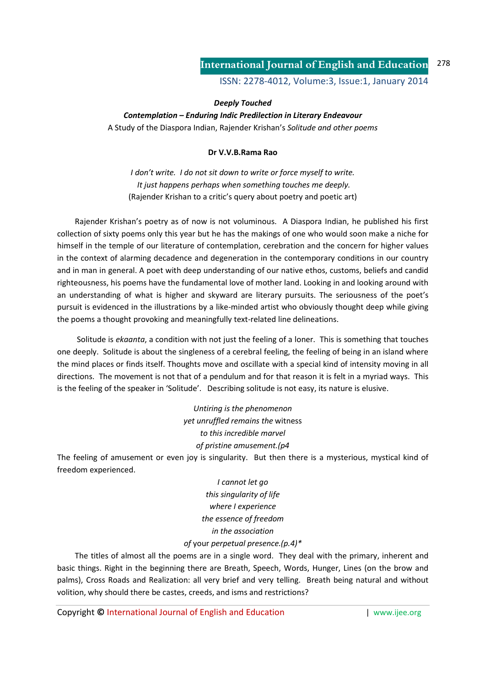ISSN: 2278-4012, Volume:3, Issue:1, January 2014

## *Deeply Touched*

*Contemplation – Enduring Indic Predilection in Literary Endeavour*  A Study of the Diaspora Indian, Rajender Krishan's *Solitude and other poems* 

## **Dr V.V.B.Rama Rao**

*I don't write. I do not sit down to write or force myself to write. It just happens perhaps when something touches me deeply.*  (Rajender Krishan to a critic's query about poetry and poetic art)

 Rajender Krishan's poetry as of now is not voluminous. A Diaspora Indian, he published his first collection of sixty poems only this year but he has the makings of one who would soon make a niche for himself in the temple of our literature of contemplation, cerebration and the concern for higher values in the context of alarming decadence and degeneration in the contemporary conditions in our country and in man in general. A poet with deep understanding of our native ethos, customs, beliefs and candid righteousness, his poems have the fundamental love of mother land. Looking in and looking around with an understanding of what is higher and skyward are literary pursuits. The seriousness of the poet's pursuit is evidenced in the illustrations by a like-minded artist who obviously thought deep while giving the poems a thought provoking and meaningfully text-related line delineations.

 Solitude is *ekaanta*, a condition with not just the feeling of a loner. This is something that touches one deeply. Solitude is about the singleness of a cerebral feeling, the feeling of being in an island where the mind places or finds itself. Thoughts move and oscillate with a special kind of intensity moving in all directions. The movement is not that of a pendulum and for that reason it is felt in a myriad ways. This is the feeling of the speaker in 'Solitude'. Describing solitude is not easy, its nature is elusive.

> *Untiring is the phenomenon yet unruffled remains the* witness *to this incredible marvel of pristine amusement.(p4*

The feeling of amusement or even joy is singularity. But then there is a mysterious, mystical kind of freedom experienced.

> *I cannot let go this singularity of life where I experience the essence of freedom in the association*

## *of* your *perpetual presence.(p.4)\**

 The titles of almost all the poems are in a single word. They deal with the primary, inherent and basic things. Right in the beginning there are Breath, Speech, Words, Hunger, Lines (on the brow and palms), Cross Roads and Realization: all very brief and very telling. Breath being natural and without volition, why should there be castes, creeds, and isms and restrictions?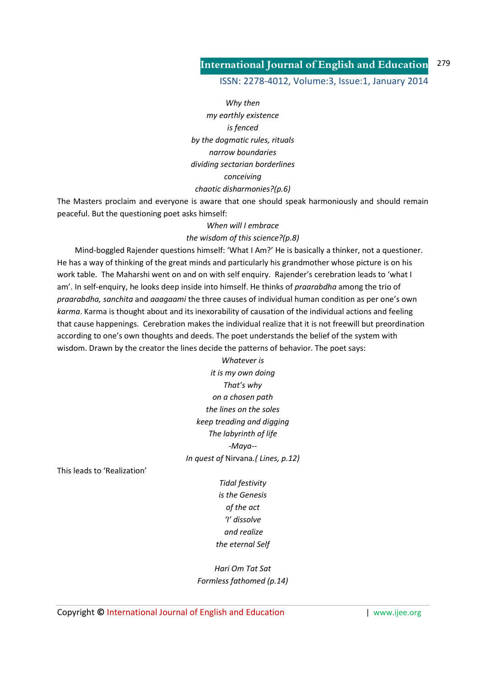ISSN: 2278-4012, Volume:3, Issue:1, January 2014

*Why then my earthly existence is fenced by the dogmatic rules, rituals narrow boundaries dividing sectarian borderlines conceiving chaotic disharmonies?(p.6)* 

The Masters proclaim and everyone is aware that one should speak harmoniously and should remain peaceful. But the questioning poet asks himself:

## *When will I embrace the wisdom of this science?(p.8)*

 Mind-boggled Rajender questions himself: 'What I Am?' He is basically a thinker, not a questioner. He has a way of thinking of the great minds and particularly his grandmother whose picture is on his work table. The Maharshi went on and on with self enquiry. Rajender's cerebration leads to 'what I am'. In self-enquiry, he looks deep inside into himself. He thinks of *praarabdha* among the trio of *praarabdha, sanchita* and *aaagaami* the three causes of individual human condition as per one's own *karma*. Karma is thought about and its inexorability of causation of the individual actions and feeling that cause happenings. Cerebration makes the individual realize that it is not freewill but preordination according to one's own thoughts and deeds. The poet understands the belief of the system with wisdom. Drawn by the creator the lines decide the patterns of behavior. The poet says:

> *Whatever is it is my own doing That's why on a chosen path the lines on the soles keep treading and digging The labyrinth of life -Maya-- In quest of* Nirvana*.( Lines, p.12)*

This leads to 'Realization'

*Tidal festivity is the Genesis of the act 'I' dissolve and realize the eternal Self* 

*Hari Om Tat Sat Formless fathomed (p.14)*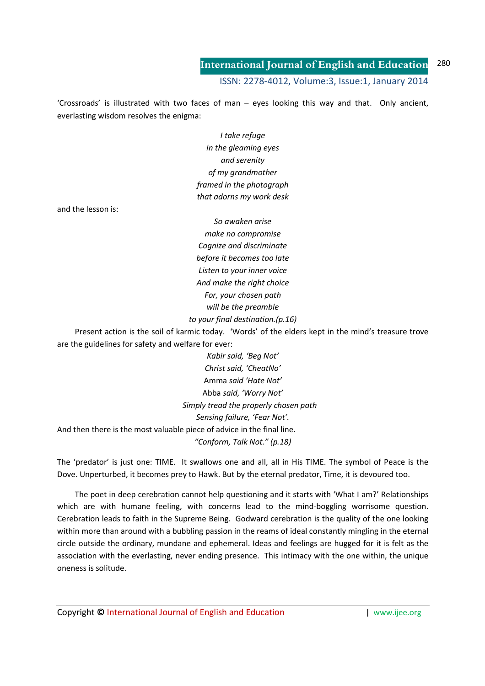'Crossroads' is illustrated with two faces of man – eyes looking this way and that. Only ancient, everlasting wisdom resolves the enigma:

> *I take refuge in the gleaming eyes and serenity of my grandmother framed in the photograph that adorns my work desk*

and the lesson is:

*So awaken arise make no compromise Cognize and discriminate before it becomes too late Listen to your inner voice And make the right choice For, your chosen path will be the preamble to your final destination.(p.16)* 

 Present action is the soil of karmic today. 'Words' of the elders kept in the mind's treasure trove are the guidelines for safety and welfare for ever:

*Kabir said, 'Beg Not' Christ said, 'CheatNo'*  Amma *said 'Hate Not'*  Abba *said, 'Worry Not' Simply tread the properly chosen path Sensing failure, 'Fear Not'.*  And then there is the most valuable piece of advice in the final line. *"Conform, Talk Not." (p.18)* 

The 'predator' is just one: TIME. It swallows one and all, all in His TIME. The symbol of Peace is the Dove. Unperturbed, it becomes prey to Hawk. But by the eternal predator, Time, it is devoured too.

 The poet in deep cerebration cannot help questioning and it starts with 'What I am?' Relationships which are with humane feeling, with concerns lead to the mind-boggling worrisome question. Cerebration leads to faith in the Supreme Being. Godward cerebration is the quality of the one looking within more than around with a bubbling passion in the reams of ideal constantly mingling in the eternal circle outside the ordinary, mundane and ephemeral. Ideas and feelings are hugged for it is felt as the association with the everlasting, never ending presence. This intimacy with the one within, the unique oneness is solitude.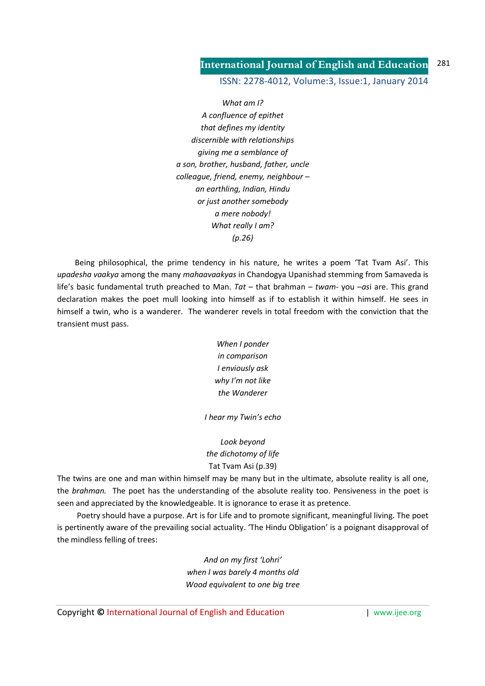ISSN: 2278-4012, Volume:3, Issue:1, January 2014

*What am I? A confluence of epithet that defines my identity discernible with relationships giving me a semblance of a son, brother, husband, father, uncle colleague, friend, enemy, neighbour – an earthling, Indian, Hindu or just another somebody a mere nobody! What really I am? (p.26)* 

 Being philosophical, the prime tendency in his nature, he writes a poem 'Tat Tvam Asi'. This *upadesha vaakya* among the many *mahaavaakyas* in Chandogya Upanishad stemming from Samaveda is life's basic fundamental truth preached to Man. *Tat* – that brahman – *twam*- you –*as*i are. This grand declaration makes the poet mull looking into himself as if to establish it within himself. He sees in himself a twin, who is a wanderer. The wanderer revels in total freedom with the conviction that the transient must pass.

> *When I ponder in comparison I enviously ask why I'm not like the Wanderer*

*I hear my Twin's echo* 

# *Look beyond the dichotomy of life*  Tat Tvam Asi (p.39)

The twins are one and man within himself may be many but in the ultimate, absolute reality is all one, the *brahman.* The poet has the understanding of the absolute reality too. Pensiveness in the poet is seen and appreciated by the knowledgeable. It is ignorance to erase it as pretence.

 Poetry should have a purpose. Art is for Life and to promote significant, meaningful living. The poet is pertinently aware of the prevailing social actuality. 'The Hindu Obligation' is a poignant disapproval of the mindless felling of trees:

> *And on my first 'Lohri' when I was barely 4 months old Wood equivalent to one big tree*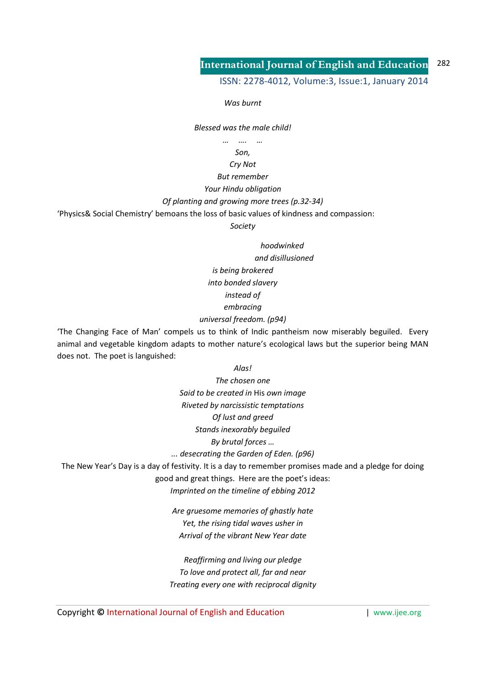ISSN: 2278-4012, Volume:3, Issue:1, January 2014

*Was burnt* 

*Blessed was the male child!* 

*… …. … Son,* 

### *Cry Not*

*But remember* 

## *Your Hindu obligation*

*Of planting and growing more trees (p.32-34)* 

'Physics& Social Chemistry' bemoans the loss of basic values of kindness and compassion:

*Society* 

 *hoodwinked and disillusioned is being brokered into bonded slavery instead of embracing universal freedom. (p94)* 

'The Changing Face of Man' compels us to think of Indic pantheism now miserably beguiled. Every animal and vegetable kingdom adapts to mother nature's ecological laws but the superior being MAN does not. The poet is languished:

*Alas!* 

*The chosen one Said to be created in* His *own image Riveted by narcissistic temptations Of lust and greed Stands inexorably beguiled By brutal forces … ... desecrating the Garden of Eden. (p96)* 

The New Year's Day is a day of festivity. It is a day to remember promises made and a pledge for doing good and great things. Here are the poet's ideas:

*Imprinted on the timeline of ebbing 2012* 

*Are gruesome memories of ghastly hate Yet, the rising tidal waves usher in Arrival of the vibrant New Year date* 

*Reaffirming and living our pledge To love and protect all, far and near Treating every one with reciprocal dignity*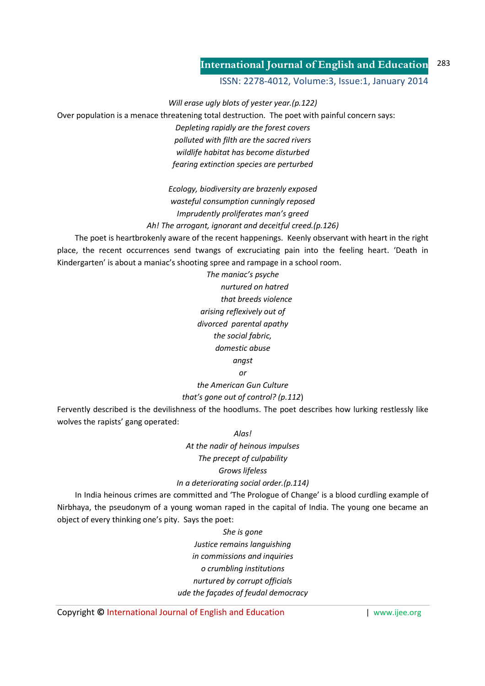ISSN: 2278-4012, Volume:3, Issue:1, January 2014

*Will erase ugly blots of yester year.(p.122)* 

Over population is a menace threatening total destruction. The poet with painful concern says:

*Depleting rapidly are the forest covers polluted with filth are the sacred rivers wildlife habitat has become disturbed fearing extinction species are perturbed* 

*Ecology, biodiversity are brazenly exposed wasteful consumption cunningly reposed Imprudently proliferates man's greed Ah! The arrogant, ignorant and deceitful creed.(p.126)* 

 The poet is heartbrokenly aware of the recent happenings. Keenly observant with heart in the right place, the recent occurrences send twangs of excruciating pain into the feeling heart. 'Death in Kindergarten' is about a maniac's shooting spree and rampage in a school room.

> *The maniac's psyche nurtured on hatred that breeds violence arising reflexively out of divorced parental apathy the social fabric, domestic abuse angst*

*or* 

*the American Gun Culture that's gone out of control? (p.112*)

Fervently described is the devilishness of the hoodlums. The poet describes how lurking restlessly like wolves the rapists' gang operated:

*Alas!* 

*At the nadir of heinous impulses The precept of culpability Grows lifeless In a deteriorating social order.(p.114)* 

 In India heinous crimes are committed and 'The Prologue of Change' is a blood curdling example of Nirbhaya, the pseudonym of a young woman raped in the capital of India. The young one became an object of every thinking one's pity. Says the poet:

> *She is gone Justice remains languishing in commissions and inquiries o crumbling institutions nurtured by corrupt officials ude the façades of feudal democracy*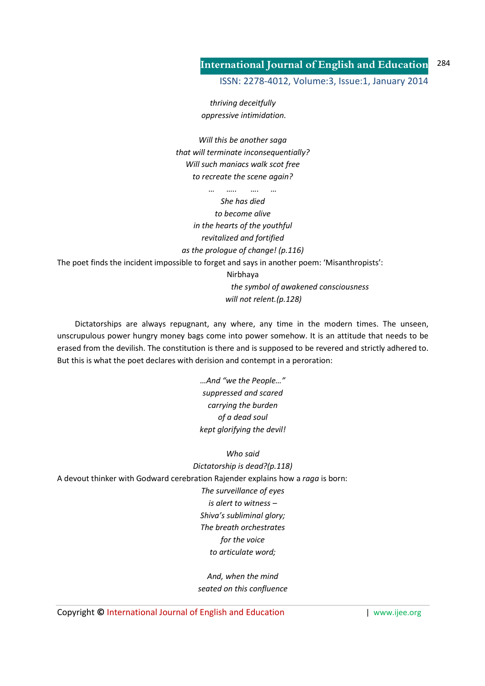ISSN: 2278-4012, Volume:3, Issue:1, January 2014

*thriving deceitfully oppressive intimidation.* 

*Will this be another saga that will terminate inconsequentially? Will such maniacs walk scot free to recreate the scene again?* 

*… ….. …. … She has died to become alive in the hearts of the youthful revitalized and fortified as the prologue of change! (p.116)*  The poet finds the incident impossible to forget and says in another poem: 'Misanthropists': Nirbhaya  *the symbol of awakened consciousness will not relent.(p.128)* 

 Dictatorships are always repugnant, any where, any time in the modern times. The unseen, unscrupulous power hungry money bags come into power somehow. It is an attitude that needs to be erased from the devilish. The constitution is there and is supposed to be revered and strictly adhered to. But this is what the poet declares with derision and contempt in a peroration:

> *…And "we the People…" suppressed and scared carrying the burden of a dead soul kept glorifying the devil!*

*Who said Dictatorship is dead?(p.118)*  A devout thinker with Godward cerebration Rajender explains how a *raga* is born: *The surveillance of eyes is alert to witness – Shiva's subliminal glory; The breath orchestrates for the voice to articulate word;* 

> *And, when the mind seated on this confluence*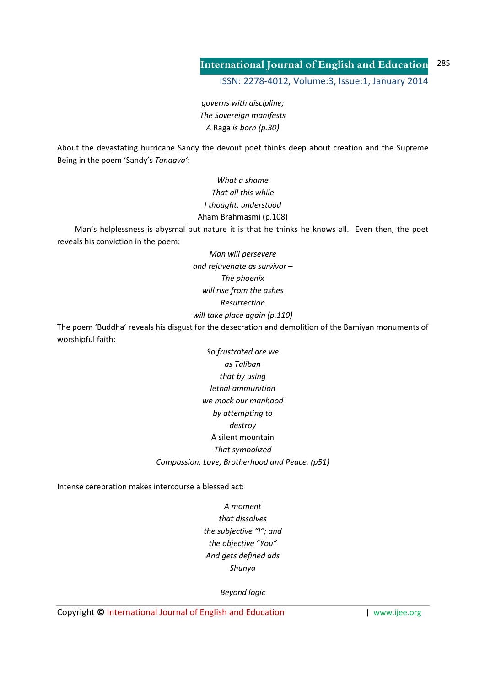ISSN: 2278-4012, Volume:3, Issue:1, January 2014

*governs with discipline; The Sovereign manifests A* Raga *is born (p.30)* 

About the devastating hurricane Sandy the devout poet thinks deep about creation and the Supreme Being in the poem 'Sandy's *Tandava'*:

> *What a shame That all this while I thought, understood*  Aham Brahmasmi (p.108)

 Man's helplessness is abysmal but nature it is that he thinks he knows all. Even then, the poet reveals his conviction in the poem:

> *Man will persevere and rejuvenate as survivor – The phoenix will rise from the ashes Resurrection will take place again (p.110)*

The poem 'Buddha' reveals his disgust for the desecration and demolition of the Bamiyan monuments of worshipful faith:

> *So frustrated are we as Taliban that by using lethal ammunition we mock our manhood by attempting to destroy*  A silent mountain *That symbolized Compassion, Love, Brotherhood and Peace. (p51)*

Intense cerebration makes intercourse a blessed act:

*A moment that dissolves the subjective "I"; and the objective "You" And gets defined ads Shunya* 

*Beyond logic*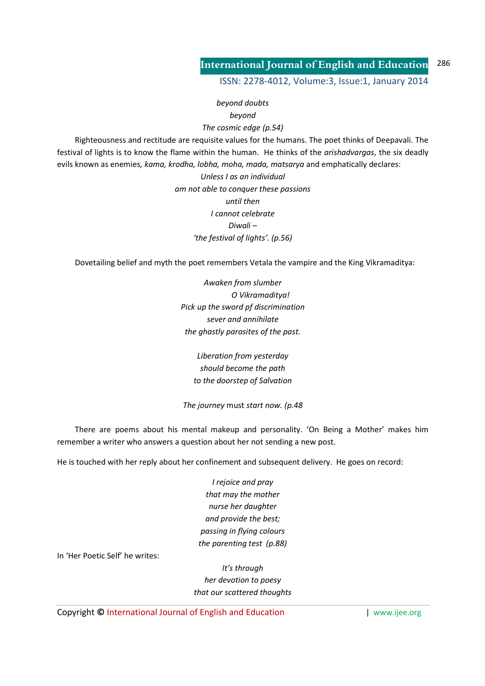ISSN: 2278-4012, Volume:3, Issue:1, January 2014

*beyond doubts beyond The cosmic edge (p.54)*  Righteousness and rectitude are requisite values for the humans. The poet thinks of Deepavali. The festival of lights is to know the flame within the human. He thinks of the *arishadvargas*, the six deadly evils known as enemies*, kama, krodha, lobha, moha, mada, matsarya* and emphatically declares: *Unless I as an individual* 

> *am not able to conquer these passions until then I cannot celebrate Diwali – 'the festival of lights'. (p.56)*

Dovetailing belief and myth the poet remembers Vetala the vampire and the King Vikramaditya:

*Awaken from slumber O Vikramaditya! Pick up the sword pf discrimination sever and annihilate the ghastly parasites of the past.* 

*Liberation from yesterday should become the path to the doorstep of Salvation* 

*The journey* must *start now. (p.48*

 There are poems about his mental makeup and personality. 'On Being a Mother' makes him remember a writer who answers a question about her not sending a new post.

He is touched with her reply about her confinement and subsequent delivery. He goes on record:

*I rejoice and pray that may the mother nurse her daughter and provide the best; passing in flying colours the parenting test (p.88)* 

In 'Her Poetic Self' he writes:

*It's through her devotion to poesy that our scattered thoughts*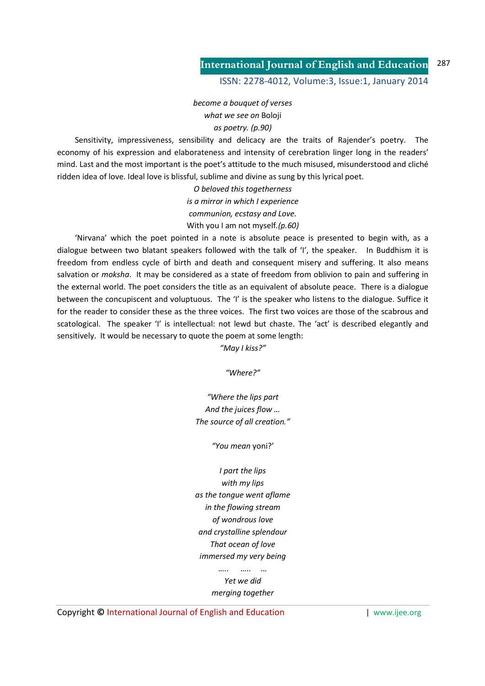ISSN: 2278-4012, Volume:3, Issue:1, January 2014

*become a bouquet of verses what we see on* Boloji *as poetry. (p.90)* 

 Sensitivity, impressiveness, sensibility and delicacy are the traits of Rajender's poetry. The economy of his expression and elaborateness and intensity of cerebration linger long in the readers' mind. Last and the most important is the poet's attitude to the much misused, misunderstood and cliché ridden idea of love. Ideal love is blissful, sublime and divine as sung by this lyrical poet.

> *O beloved this togetherness is a mirror in which I experience communion, ecstasy and Love.*  With you I am not myself*.(p.60)*

 'Nirvana' which the poet pointed in a note is absolute peace is presented to begin with, as a dialogue between two blatant speakers followed with the talk of 'I', the speaker. In Buddhism it is freedom from endless cycle of birth and death and consequent misery and suffering. It also means salvation or *moksha*. It may be considered as a state of freedom from oblivion to pain and suffering in the external world. The poet considers the title as an equivalent of absolute peace. There is a dialogue between the concupiscent and voluptuous. The 'I' is the speaker who listens to the dialogue. Suffice it for the reader to consider these as the three voices. The first two voices are those of the scabrous and scatological. The speaker 'I' is intellectual: not lewd but chaste. The 'act' is described elegantly and sensitively. It would be necessary to quote the poem at some length:

*"May I kiss?"* 

*"Where?"* 

*"Where the lips part And the juices flow … The source of all creation."* 

*"You mean* yoni?'

*I part the lips with my lips as the tongue went aflame in the flowing stream of wondrous love and crystalline splendour That ocean of love immersed my very being* 

> *Yet we did merging together*

*….. ….. …*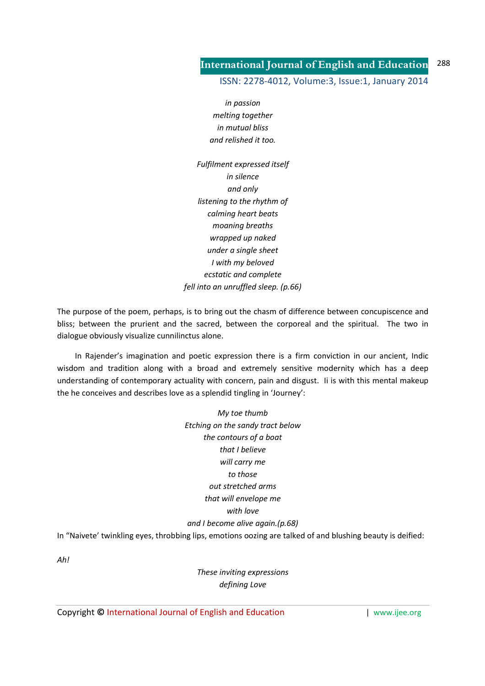ISSN: 2278-4012, Volume:3, Issue:1, January 2014

*in passion melting together in mutual bliss and relished it too.* 

*Fulfilment expressed itself in silence and only listening to the rhythm of calming heart beats moaning breaths wrapped up naked under a single sheet I with my beloved ecstatic and complete fell into an unruffled sleep. (p.66)* 

The purpose of the poem, perhaps, is to bring out the chasm of difference between concupiscence and bliss; between the prurient and the sacred, between the corporeal and the spiritual. The two in dialogue obviously visualize cunnilinctus alone.

 In Rajender's imagination and poetic expression there is a firm conviction in our ancient, Indic wisdom and tradition along with a broad and extremely sensitive modernity which has a deep understanding of contemporary actuality with concern, pain and disgust. Ii is with this mental makeup the he conceives and describes love as a splendid tingling in 'Journey':

> *My toe thumb Etching on the sandy tract below the contours of a boat that I believe will carry me to those out stretched arms that will envelope me with love and I become alive again.(p.68)*

In "Naivete' twinkling eyes, throbbing lips, emotions oozing are talked of and blushing beauty is deified:

*Ah!* 

*These inviting expressions defining Love*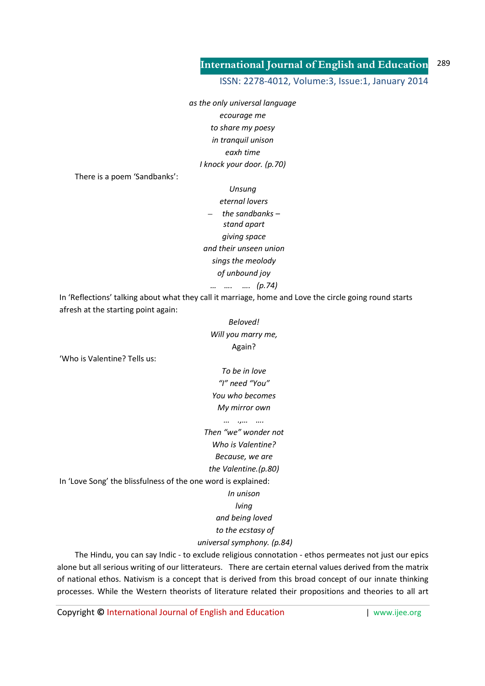ISSN: 2278-4012, Volume:3, Issue:1, January 2014

*as the only universal language ecourage me to share my poesy in tranquil unison eaxh time I knock your door. (p.70)* 

There is a poem 'Sandbanks':

*Unsung eternal lovers*  – *the sandbanks – stand apart giving space and their unseen union sings the meolody of unbound joy … …. …. (p.74)* 

In 'Reflections' talking about what they call it marriage, home and Love the circle going round starts afresh at the starting point again:

# *Beloved! Will you marry me,*  Again?

'Who is Valentine? Tells us:

*To be in love "I" need "You" You who becomes My mirror own* 

*… .,… ….* 

*Then "we" wonder not* 

*Who is Valentine?* 

*Because, we are* 

*the Valentine.(p.80)* 

In 'Love Song' the blissfulness of the one word is explained:

# *In unison*

*lving* 

*and being loved* 

 *to the ecstasy of* 

## *universal symphony. (p.84)*

 The Hindu, you can say Indic - to exclude religious connotation - ethos permeates not just our epics alone but all serious writing of our litterateurs. There are certain eternal values derived from the matrix of national ethos. Nativism is a concept that is derived from this broad concept of our innate thinking processes. While the Western theorists of literature related their propositions and theories to all art